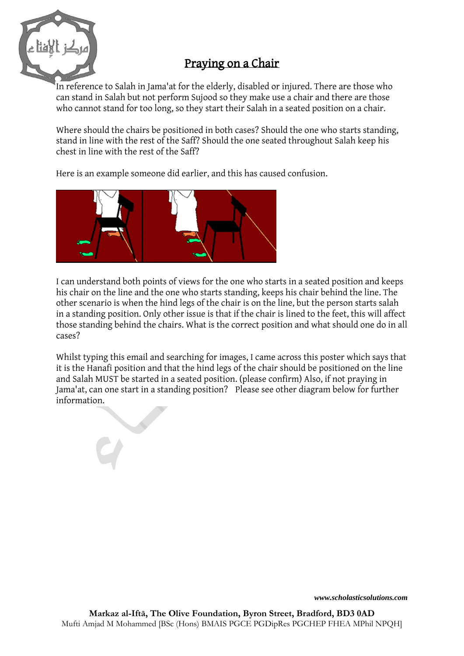

## Praying on a Chair

In reference to Salah in Jama'at for the elderly, disabled or injured. There are those who can stand in Salah but not perform Sujood so they make use a chair and there are those who cannot stand for too long, so they start their Salah in a seated position on a chair.

Where should the chairs be positioned in both cases? Should the one who starts standing, stand in line with the rest of the Saff? Should the one seated throughout Salah keep his chest in line with the rest of the Saff?

Here is an example someone did earlier, and this has caused confusion.



I can understand both points of views for the one who starts in a seated position and keeps his chair on the line and the one who starts standing, keeps his chair behind the line. The other scenario is when the hind legs of the chair is on the line, but the person starts salah in a standing position. Only other issue is that if the chair is lined to the feet, this will affect those standing behind the chairs. What is the correct position and what should one do in all cases?

Whilst typing this email and searching for images, I came across this poster which says that it is the Hanafi position and that the hind legs of the chair should be positioned on the line and Salah MUST be started in a seated position. (please confirm) Also, if not praying in Jama'at, can one start in a standing position? Please see other diagram below for further information.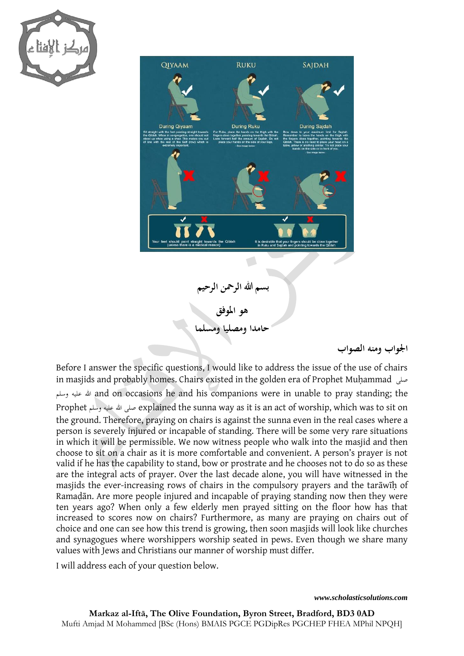



## **اجلواب ومنه الصواب**

Before I answer the specific questions, I would like to address the issue of the use of chairs in masjids and probably homes. Chairs existed in the golden era of Prophet Muhammad وسلم عليه هللا and on occasions he and his companions were in unable to pray standing; the Prophet وسلم عليه هللا صلى explained the sunna way as it is an act of worship, which was to sit on the ground. Therefore, praying on chairs is against the sunna even in the real cases where a person is severely injured or incapable of standing. There will be some very rare situations in which it will be permissible. We now witness people who walk into the masjid and then choose to sit on a chair as it is more comfortable and convenient. A person's prayer is not valid if he has the capability to stand, bow or prostrate and he chooses not to do so as these are the integral acts of prayer. Over the last decade alone, you will have witnessed in the masjids the ever-increasing rows of chairs in the compulsory prayers and the tarāwīḥ of Ramaḍān. Are more people injured and incapable of praying standing now then they were ten years ago? When only a few elderly men prayed sitting on the floor how has that increased to scores now on chairs? Furthermore, as many are praying on chairs out of choice and one can see how this trend is growing, then soon masjids will look like churches and synagogues where worshippers worship seated in pews. Even though we share many values with Jews and Christians our manner of worship must differ.

I will address each of your question below.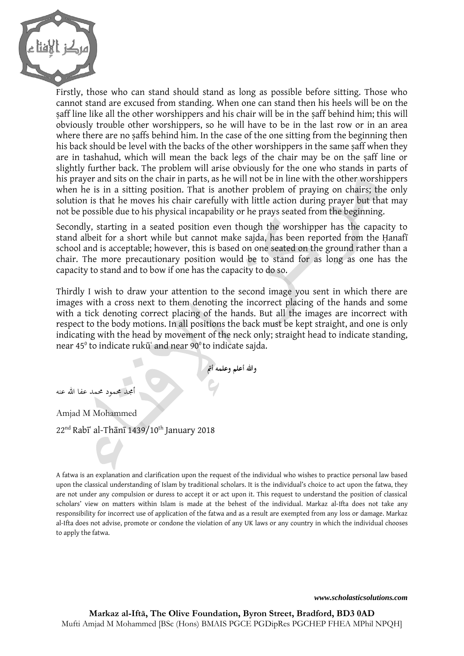

Firstly, those who can stand should stand as long as possible before sitting. Those who cannot stand are excused from standing. When one can stand then his heels will be on the saff line like all the other worshippers and his chair will be in the saff behind him; this will obviously trouble other worshippers, so he will have to be in the last row or in an area where there are no saffs behind him. In the case of the one sitting from the beginning then his back should be level with the backs of the other worshippers in the same saff when they are in tashahud, which will mean the back legs of the chair may be on the ṣaff line or slightly further back. The problem will arise obviously for the one who stands in parts of his prayer and sits on the chair in parts, as he will not be in line with the other worshippers when he is in a sitting position. That is another problem of praying on chairs; the only solution is that he moves his chair carefully with little action during prayer but that may not be possible due to his physical incapability or he prays seated from the beginning.

Secondly, starting in a seated position even though the worshipper has the capacity to stand albeit for a short while but cannot make sajda, has been reported from the Hanafī school and is acceptable; however, this is based on one seated on the ground rather than a chair. The more precautionary position would be to stand for as long as one has the capacity to stand and to bow if one has the capacity to do so.

Thirdly I wish to draw your attention to the second image you sent in which there are images with a cross next to them denoting the incorrect placing of the hands and some with a tick denoting correct placing of the hands. But all the images are incorrect with respect to the body motions. In all positions the back must be kept straight, and one is only indicating with the head by movement of the neck only; straight head to indicate standing, near 45° to indicate rukūʿ and near 90° to indicate sajda.

**وهللا أعلم وعلمه أمت**

أجمد حممود حممد عفا هللا عنه

Amjad M Mohammed

 $22<sup>nd</sup>$  Rabī` al-Thānī 1439/10<sup>th</sup> January 2018

A fatwa is an explanation and clarification upon the request of the individual who wishes to practice personal law based upon the classical understanding of Islam by traditional scholars. It is the individual's choice to act upon the fatwa, they are not under any compulsion or duress to accept it or act upon it. This request to understand the position of classical scholars' view on matters within Islam is made at the behest of the individual. Markaz al-Ifta does not take any responsibility for incorrect use of application of the fatwa and as a result are exempted from any loss or damage. Markaz al-Ifta does not advise, promote or condone the violation of any UK laws or any country in which the individual chooses to apply the fatwa.

*www.scholasticsolutions.com*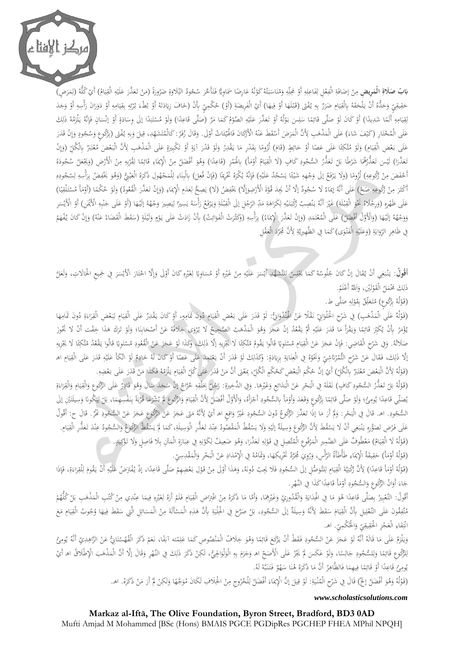

**بَابُ صَلَاةِ الْمَوِيضِ** مِنْ إضَافَةِ الْفِعْلِ لِفَاعِلِهِ أَوْ مَحِلِّهِ وَمُنَاسَبَتُهُ كَوْنُهُ عَارِضًا سَمَاوِيًّا فَتَأَخَرَ سُجُودُ التِّلَاوَةِ ضَرُورَةً (مَنْ تَعَذَّرَ عَلَيْهِ الْقِيَامُ) أَيْ كُلُّهُ (لِمَ **ا ِ** ِ َ <u>:</u> ت َ َ م<br>نا **ٔ**<br>: ت َ .<br>أ ن َ ِ ِ ِ ِ َ ار<br>ا **ٔ** ∫<br>∫ ¦ إ ْ ∫<br>∕ ر<br>ا  $\sim$ ِ ْ  $\ddot{\phantom{0}}$ ي ِ ِ **ٔ** َ .<br>. َ  $\overline{\phantom{a}}$ َ ِ َ َ حَقِيقِيٍّ وَحَدُّهُ أَنْ يَلْحَقَهُ بِالْقِيَامِ ضَرَرٌ بِهِ يُفْتَى (قَبْلَهَا أَوْ فِيهَا) أَيْ الْفَرِيضَةِ (أَوْ) مُكْمِيٍّ بِأَنْ (خافَ زِيَادَتَهُ أَوْ بُطْءَ بُرْئِهِ بِقِيَامِهِ أَوْ وَجَدَ<br>. ا<br>ا ي ِ َ با<br>ا َ ِ ِ َ ِ ِ ب ِ ِ<br>پا و<br>ر ر<br>ا َ ب <u>ٔ</u> ت َ َیا َ ڔؙ <u>ٔ</u> <u>ہے</u> .<br>أ **ٔ** َ ِ **ٔ** َ .<br>. َ ة<br>م بِ ب **م** <u>ٔ</u> ِ َ ا َ َ ٔ.<br>ا <u>ٔ</u> ₫, ∕,  $\ddot{\phantom{0}}$ ي َ قِيَامِهِ أَلَمًا شَدِيدًا) أَوْ كَانَ لَوْ صَلَّى قَائِمًا سَلِسَ بَوْلُهُ أَوْ تَعَذَّرَ عَلَيْهِ الصَّوْمُ كَمَا مَرَّ (صَلَّى قَاعِدًا) وَلَوْ مُسْتَنِدًا إلَى وِسَادَةٍ أَوْ إنْسَانٍ فَإِنَّهُ يَلْزَمُهُ ذَلِكَ <u>ٔ</u> **ٔ**<br>: .<br>ا َ َ  $\overline{a}$ ِ<br>پُ َ ا<br>ا **ٔ ـ**  $\overline{a}$ ِ ∫<br>∕  $\ddot{\phantom{0}}$ ي ِ ِ ل َ ب<br>ا ِ ف<br>أ **ُ** <u>ٔ</u>  $\ddot{\circ}$  $\ddot{\phantom{0}}$ </sub> .<br>ا ِ ن ĩ ت ا<br>ا <u>ٔ</u> َ .<br>ا َ  $\overline{\phantom{a}}$  $\overline{\phantom{a}}$  $\sim$ <u>ٔ</u> ₫. ْ </sub> .<br>ا ِ َ عَلَى الْمُخْتَارِ (كَيْفَ شَاءَ) عَلَى الْمَذْهَبِ لِأَنَّ الْمَرَضَ أَسْقَطَ عَنْهُ الْأَزَكَانَ فَالْهِيَّمَاتُ أَوْلَى. وَقَالَ زُفَرُ: كَالْمُتَشَهِّدِ، قِيلَ وَبِهِ يُفْتَى (بِرُكُوعٍ وَسُجُودٍ وَإِنْ قَدَرَ <u>ٔ</u> َ ئ **ٔ** .<br>أ <u>ّ</u> ن َ **ٔ**  $\overline{a}$ ٔ<br>أ  $\overline{a}$ َ َ <u>:</u> َ ر<br>ا ِ إ َ **∫** َ ِ ة<br>م ₫. َ  $\overline{\phantom{0}}$ ِ ت َ <sub>2</sub> عَلَى بَعْضِ الْقِيَامِ) وَلَوْ مُتَّكِئًا عَلَى عَصًا أَوْ حَائِطٍ (قَامَ) لُزُومًا بِقَدْرٍ مَا يَقْدِرُ وَلَوْ قَدْرَ آيَةٍ أَوْ تَكْبِيرَةٍ عَلَى الْمَذْهَبِ لِأَنَّ الْبَعْضَ مُعْتَبَرٌ بِالْكُلِّ (وَإِنْ یا<br>ا .<br>ن **ٔ**<br>: َ َ ام<br>ا ِ  $\overline{a}$ َ َ َ ً َ ئي<br>أ الممتل **ٔ**<br>: َ  $\ddot{\phantom{0}}$ ي ِ **ٔ** َ َ ۵,  $\overline{a}$ َ  $\ddot{c}$ <u>َ</u> َ ت <u>ٔ</u>  $\frac{1}{2}$ إ َ ت ْ  $\ddot{\phantom{0}}$ َ نَعَذَّرَا) لَيْسَ تَعَذُّرُهُمَا شَرْطًا بَلْ تَعَذُّرُ السُّجُودِ كَافٍ (لَا الْقِيَامُ أَوْمَأَ) بِالْهَمْزِ (قَاعِدًا) وَهُوَ أَفْضَلُ مِنْ الْإِيمَاءِ قَائِمًا لِقُرْبِهِ مِنْ الْأَرْضِ (وَيَجْعَلُ سُجُودَهُ<br>. ً ٍ<br>ن ْ ا<br>ا  $\overline{\phantom{a}}$ <u>ّ</u> ا<br>ا ي ِ **∶** َ **ٔ** َ ֡֡<u>֡</u> ٔ<br>ا َ  $\overline{a}$ <u>ا</u> َ  $\ddot{ }$ <u>ٔ</u> َ .<br>ا ْ ِم∕ ِ <u>ٔ</u> ا  $\overline{a}$ ِ َ ِ ـا<br>ا ْ ِ ْ َ ِ أَخْفَضَ مِنْ وَكُوعِهِ) لُزُومًا (وَلَا يَرْفَعُ إِلَى وَجْهِهِ شَيْئًا يَسْجُدُ عَلَيْهِ) فَإِنَّهُ يُكْرَهُ تَخْرِيمًا (فَإِنْ فُعِلَ) بِالْبِنَاءِ لِلْمَجْهُولِ ذَكَرَهُ الْعَيْنِيُّ (وَهُوَ يَخْفِضُ بِرَأْسِهِ لِسُجُو ِّي ً َ ي ِ ا<br>أ ِ .<br>. َ ً ا ا مط **ٔ** ِ **ٔ** إ <u>ّ</u> .<br>ا َ ً ِ ْ ∫<br>∧ ٔ<br>ا **ٔ** ِ **∶** ِ ل ِ َ ِ ٍ<br>م َ َ ْ ي َ َ **ٔ** ٍ<br>ا ل ِ َ ن ِ  $\overline{\phantom{a}}$ ِ أَكْثَرَ مِنْ زَكُوعِهِ صَحً) عَلَى أَنَّهُ إِمَاءٌ لَا سُجُودٌ إلَّا أَنْ يَجِدَ قُوَّةَ الْأَرْضِوَإِلَا) يَخْفِضُ (لَا) يَصِحُّ لِعَدَمِ الْإِيمَاءِ (وَإِنْ تَعَذَّرَ الْقُعُودُ) وَلَوْ لحُكْمًا (أَوْمَأَ مُسْتَلْقِيًا ∶ ْ ∫<br>∕ .<br>ا َ ِ َ َ ِ يا<br>. ِ إ َ .<br>ا <u>ة</u> اب<br>ا  $\overline{a}$ َ ً ي ِ ٔ. ا<br>ا  $\overline{a}$ <u>ٔ</u>  $\sim$ َ  $\overline{a}$ َ ِ إ عَلَى ظَهْرِهِ (وَرِجْلَاهُ غَيْوَ الْقِبْلَةِ) غَيْرَ أَنَّهُ يَنْصِبُ رَكْبَتَيْهِ لِكَرَاهَةِ مَدِّ الرِّجْلِ إِلَى الْقِبْلَةِ وَيَرْفَعُ رَأْسَهُ يَسِيرًا لِيَصِيرَ وَجْهُهُ إِلَيْهَا (أَوْ عَلَى جَنْبِهِ الْأَيْمَرِ) ِّ ا ْ ¦ .<br>. ِ َ **ٔ** َ ْ َ َ **ٔ ٔ** اب<br>ا  $\ddot{\phantom{0}}$ ي ِ ا<br>ا ي  $\overline{\phantom{a}}$ َ <u>ّ</u> بہ<br>ا َ ¦ .<br>. <u>ٍ</u> **ٔ** ¦ ٔ<br>م َ <u>ِ</u> ل ِ .<br>. ي .<br>.  $\ddot{\phantom{0}}$ .<br>. ن ٔ. </sub> ْ بر<br>ا ₫, ِ ب :<br>أ ن **م** َ **ٔ** .<br>ا وَوَجْهُهُ إِلَيْهَا (وَالْأَوَّلُ أَفْضَلُ) عَلَى الْمُعْتَمَدِ (وَإِنْ تَعَذَّرَ الْإِيمَاءُ) بِرَأْسِهِ (وَكَثْرَتْ الْفَوَائِتُ) بِأَنْ زَادَتْ عَلَى يَوْمٍ وَلَيْلَةٍ (سَقَطَ الْقَضَاءُ عَنْهُ) وَإِنْ كَانَ يُفْهَمُ َ ِ إ َ  $\overline{a}$ ت ْ َ .<br>.<br>. َ َ .<br>. <u>ٔ</u> َ ِ َ ن َ **أ**  $\frac{1}{2}$ **ٔ** َ ٍ ْ ا<br>ا َ َ ِ<br>ئ َ ُر<br>ر َ ِ َ ِ<br>پر ً<br>ا َ فِي ظَاهِرِ الرِّوَايَةِ (وَعَلَيْهِ الْفُتْوَى)كَمَا فِي الظَّهِيرِيَّةِ لِأَنَّ مُجَرَّدَ الْعَقْلِ .<br>أ َ  $\ddot{\phantom{a}}$ .<br>م ;  $\overline{a}$ َ ِ .<br>أ َ َ ; با<br>أ َ ِ

أَ**قُولُ**: يَنْبَغِي أَنْ يُقَالَ إِنْ كَانَ جُلُوسُهُ كَمَا يَجْلِسُ لِلتَّشْهُدِ أَيْسَرَ عَلَيْهِ مِنْ غَيْرِهِ أَوْ مُسَاوِيًا لِغَيْرِهِ كَانَ أَوْلَى وَإِلَّا اخْتَارَ الْأَيْسَرَ فِي جَمِيعِ الْحَالَاتِ، وَلَعَلَ با<br>ا ِ ْ ِ ل <u>يا</u>  $\ddot{\phantom{1}}$ <u>ٔ</u> ِ ِ ْ ْ ِ<br>م ِ<br>ٍ .<br>. َ َ  $\overline{a}$ l ل <u>ٔ</u>  $\overline{a}$ َ ِ َ ب ْ َ ٔ<br>ا ر<br>ا  $\ddot{\phantom{0}}$  $\overline{a}$ ِ<br>أ ت .<br>أ إ َ <u>ٔ</u> ِ ذَٰلِكَ مَحْمَلُ الْقَوْلَيْنِ، وَاَللَّهُ أَعْلَمُ.<br>. ا<br>أ ا َ لَ **ٔ**<br>:  $\overline{a}$ l

(قَوْلُهُ بِرُكُوعِ) مُتَعَلِّقٌ بِقَوْلِهِ صَلَّى ط.<br>.  $\overline{a}$ ِ ل **ٔ**<br>: ِ ب ڵ َ :<br>ا į. ب **ٔ**<br>:

(قَوْلُهُ عَلَى الْمَذْهَبِ) فِي شَرْحِ الْحَلْوَانِيِّ نَقْلًا عَنْ الْهِنْدُوَانِيُّ: لَوْ قَدَرَ عَلَى بَعْضِ الْقِيَامِ دُونَ تَمَامِهِ، أَوْ كَانَ يَقْدِرُ عَلَى الْقِيَامِ لِيَعْضِ الْقِرَاءَةِ دُونَ تَمَامِهَا  $\ddot{\phantom{0}}$ ي ِ ْ ٔ. َ .<br>ن **ٔ**<br>: ٍ<br>ا ن .<br>نا ْ َ َ ْ ٔ<br>أ  $\overline{a}$ َ **ٔ**<br>: ِ َ َ ِ **ٔ**  $\ddot{\phantom{0}}$ ِ ل  $\ddot{\phantom{0}}$ ي ِ َ ٔ. ا<br>ا ِ ∕a َ ∕ يُؤْمَرُ بِأَنْ يُكَبِّرَ قَائِمًا وَيَقْرَأُ مَا قَدَرَ عَلَيْهِ ثُمَّ يَقْعُدُ إنْ عَجَزَ وَهُوَ الْمَذْهَبُ الصَّحِيخِ لَا يُرْوَى خِلَافُهُ عَنْ أَصْحَابِنَا؛ وَلَوْ تَرَكَ هَذَا خِفْت أَنْ لَا تَجُوزَ  $\overline{a}$ َ َ ِّز َ إ َ .<br>. َ َ ام<br>ا َ ؘ<br>ا َ  $\overline{a}$ ِ .<br>أ **ـ** بر<br>پو ا<br>ا .<br>.<br>. ۵, َ َ .<br>ا ن ِّيْ َ ْ .<br>ا يُؤْمَرُ بِأَنْ يُكَبِّرَ قَائِمًا وَيَقْرَأُ مَا قَدَرَ عَلَيْهِ ثُمَّ يَقْعُدُ إِنْ عَجَّزَ وَهُوَ الْمَذْهَب<br>صَلاتُهُ. وَفِي شَرْحِ الْقَاضِي: فَإِنْ عَجَزَ عَنْ الْقِيَامِ مُسْتَوِيًا قَالُوا يَقْومُ مُتَّكِئًا لَا يَ .<br>أ ْ اً.<br>ا  $\overline{\phantom{a}}$ ز<br>ا َ ر<br>د َ ِ ِ <u>ٔ</u> ئی<br>ن ان جو آ ٔ. َ يا<br>. َ ت ا<br>ا َ ي ِ ْ ِّز َ ِ ني<br>أ ِ <u>ٔ</u> ً ا د مذ ٔ. َ يا<br>-ٔ ت ا<br>ا ِ إِلَّا ذَلِكَ، فَقَالَ عَنْ شَرْحِ التُّمُرْتَاشِيِّ وَغَوُّهُ فِي الْعِنَايَةِ بِزِيَادَةٍ: وَكَذَلِكَ لَوْ قَدَرَ أَنْ يَعْتَمِدَ عَلَى عَصًا أَوْ كَانَ لَهُ خَادِمٌ لَوْ اتَّكَأَ عَلَيْهِ قَدَرَ عَلَى الْقِيَامِ اه<br>وَي َ .<br>ا .<br>م .<br>أ l ِ **ٔ** َ <u>و</u> **↓** َ <u>ٔ</u> ً َ ت ْ  $\ddot{\phantom{0}}$ .<br>. <u>ٔ</u> l َ <u>:</u> َ پا<br>ا ب <u>ي</u> ِيا<br>أ ٔ<br>ا ن ِ ا<br>ا ي ِ َ .<br>ن **ٔ** (قَوْلُهُ لِأَنَّ الْبَعْضَ مُعْتَبَرٌ بِالْكُلِّ) أَيْ إنَّ حُكْمَ الْبَعْضِ كَحُكْمِ الْكُلِّ، بِمَعْنَى أَنَّ مَنْ قَدَرَ عَلَى تَكْلِيَام يَلْزَمُهُ فَكَذَا مَنْ قَدَرَ عَلَى بَعْضِهِ. ِ ٔ م  $\ddot{\phantom{0}}$ ا ْ ت ْ .<br>. **ٔ**<br>: ِ ْ َ  $\overline{\phantom{a}}$ ْ  $\overline{\phantom{a}}$ َ َ ا<br>ا ي .<br>د َ <u>َ</u> ْ  $\overline{\phantom{a}}$ َ

َ (قَوْلُهُ بَلْ تَعَذُّرُ السُّجُودِ كَافٍ) نَقَلَهُ فِي الْبَحْرِ عَنْ الْبَدَائِعِ وَغَيْرِهَا. وَفِي الذَّخِيرَةِ: رُجُلٌ بِحَلْقِهِ حُرَّاجٌ إِنْ سَجَدَ سَالَ وَهُوَ قَادِرٌ عَلَى الرَّكُوعِ وَالْقِيَامِ وَالْقِرَاءَةِ <u>:</u> <u>َ</u> َ ٔ<br>م ْ َ ِ ا<br>ا .<br>. ْ **ٔ** َ **∶** َ <sup> $\zeta$ </sup> ١ ب **ٔ**<br>: َ **ُ** َ إ ِ .<br>قم ِ َ َ ِ َ ∶ُ ي ِ َ َ ∫<br>⊔ َ َ يُصَلِّي قَاعِدًا يُومِئُ؛ وَلَوْ صَلَّى قَائِمًا بِرُكُوعٍ وَقَعَدَ وَأَوْمَأَ بِالسُّجُودِ أَجْزَأُهُ، وَالْأَوَّلُ أَفْضَلُ لِأَنَّ الْقِيَامَ وَالرَّكُوعَ لَمَ يُشْرَعَا قُرْبَةً بِنَفْسِهِمَا، بَلْ لِيَكُونَا وَسِيلَت :<br>أ َ َ **ٔ ∶** ا<br>ا **ٔ** َ َ i<br>H  $\overline{a}$ ِ َ  $\overline{a}$ َ ∫<br>∕ **ـ** ن<br>ن ِ ا<br>ا  $\sim$ ب <u>ة</u> با<br>: ب .<br>.<br>. َ ي **CONTRACT** َ َ َ ا<br>ا ي ِ إ َ  $\overline{\phantom{a}}$ ي ِ ل <u>ّ</u> ׇׇ֪֪֪ׅ֪֪֪ׅ֪֪ׅ֪֪ׅ֪֪ׅ֧֘֝֟֟֓֟֓֟֓֟֓֟֓֡֟֓֟֓֡֟֓֟֓֡֟֓֟֓֡֟֓֟֓֡֟֓֟֓֞֟֓֞֟֓֡֟֓֓֞֟֓֞֟֓֓֞֬֝֓֞֟֓֞֟֓<br>֧֧֪֪֪֪֪֪֪֪֪֪֪֪֪֪֪֪֪֪֪֪֪֪֪֪֪֝֩֝ ب ا<br>ا السُّجُودِ. اهـ. قَالَ فِي الْبَحْرِ: وَلَمَّ أَرَ مَا إِذَا تَعَذَّرَ الرَّكُوعُ دُونَ السُّجُودِ غَيْرُ وَاقِعِ اهـ أَيْ لِأَنَّهُ مَتَى عَجَزَ عَنْ الصُّجُودِ مَحَرَّ. قَالَ ح: أَقُولُ ِ َ ْ **∶** َ َ ا<br>ا ً<br>ا ْ َ **ٔ** ن<br>ن ∫<br>} َ **∶** ֦֧֪֧֝֟֓֡֡֡֡֡֡<u>֓</u> .<br>ز َ ْ َ َ ة<br>م عَلَى فَرْضِ تَصَوُّرِهِ يَنْبَغِي أَنْ لَا يَسْقُطَ لِأَنَّ الرَّكُوعَ وَسِيلَةٌ إلَيْهِ وَلَا يَسْقُطُ الْمَقْصُودُ عِنْدَ تَعَذُّرِ الْوَسِيلَةِ، كَمَا لَمْ يَسْقُطْ الرَّهُوعَ وَاسْتُجُودُ عِنْدَ تَعَذُّرِ الْقِيَامِ. .<br>ا َ ا<br>ا ن  $\overline{a}$ ا<br>ا َ ِ .<br>. َ َ ا<br>ا ِ َ ب ْ با<br>ا ا<br>ا **∶** ي ِ َ ن َ ا<br>ا ي  $\overline{a}$  $\lambda$ <u>ي</u> َ (قَوْلُهُ لَا الْقِيَامُ) مَعْطُوفٌ عَلَى الضَّمِيرِ الْمَرْفُوعِ الْمُتَّصِلِ فِي قَوْلِهِ تَعَذَّرَا، وَهُوَ ضَعِيفٌ لِكَوْنِهِ فِي عِبَارَةِ الْمَتْلِ بِلَا فَاصِلٍ وَلَا تَؤَكِيلٍ.<br>(قَوْلُهُ أَوْمَأَ) حَقِيقَةُ الْإِي َ ام<br>ا  $\ddot{\phantom{0}}$ ي ِ **ٔ**<br>: َ ِ<br>ن ِ ب َ  $\ddot{\phantom{0}}$ ب ِ ِ ن **ٔ** ِ ي ِ َ َ َ َ ِ l, ل **ٔ** ْ  $\overline{a}$ ِ **ٔ** 

ُوَقِّلُهُ أَوْمَأَ) حَقِيقَةُ الْإِيمَاءِ طَأْطَأَةُ الرَّأْسِ، وَرُوِيَ مُجَرَّدُ تَخْرِيكِهَا، وَقَامُهُ فِي الْإِمْدَادِ عَنْ الْبَحْرِ وَالْمَقْدِسِيِّ.<br>وَفَاحْدُ الْجَمْلُ الْجَمَاءِ عَلَيْهَا الْمَحْلَمَةُ الرَّأْس َ  $\ddot{\phantom{0}}$ َ َ َ ِ  $\overline{a}$ ِ َ َ **ٔ ٔ**<br>:  $\overline{a}$ َ **ٔ** ْ **∶** اب<br>ا ابر<br>ا

(قَوْلُهُ أَوْمَأَ قَاعِدًا) لِأَنَّ زَكْنِيَّةَ الْقِيَامِ لِلتَّوَصُّلِ إلَى السُّجُودِ فَلَا يَجِبُ دُونَهُ، وَهَذَا أَوْلَى مِنْ قَوْلِ بَعْضِهِمْ صَلَّى قَاعِدًا، إذْ يُفْتَرَضُ عَلَيْهِ أَنْ يَقُومَ لِلْقِرَاءَةِ، فَ <u>ٔ</u> ٔ<br>م َ **∶** َ l ل ا<br>ا ي ِ ٍ<br>أ ي ِ <u>ً</u> َ ا<br>ا <u>ّ</u> **ٔ** َ َ ِ ڶ<br>ڶ ل َ ٔ. ِ **ٔ** اد<br>ا .<br>. َ  $\ddot{\phantom{0}}$ ْ َ <u>ٔ</u> ْ ِ ِ نم<br>أ ِ جَاءَ أَوَانُ الرَّكُوعِ وَالسُّجُودِ أَوْمَأَ قَاعِدًا كَذَا فِي النَّهْرِ. **€** ا .<br>ا َ  $\overline{\phantom{a}}$ **ٔ** ∫<br>∹ َ ا َ َ َ

ا ْ أقُولُ: التَّعْبِيرُ بِصَلَّى قَاعِدًا هُوَ مَا فِي الْهِدَايَةِ وَالْقُدُورِيِّ وَغَيْرِهِمَا، وَأَمَّا مَا ذَكَرُهُ مِنْ افْتِرَاضِ الْقِيَامِ فَلَمْ أَرَهُ لِغَيْرِهِ فِيمةِا عِنْدِي مِنْ كُلُهُمْ ∕ َ  $\overline{\phantom{a}}$ َ ٔ<br>ا ِ ْ َ ِ،<br>ر *<u>a</u>* ِيا<br>أ ٔ<br>ا ِ ا<br>ا َ .<br>ا ٍ<br>ن ا<br>ا ب ب **ٔ** Į ْ ِ ل <u>ُ</u> ْ َ ا<br>ا ي ِ  $\overline{a}$ :<br>أ ْ <u>ّ</u> با<br>. ۵,  $\lambda$ ْ ∕a ن  $\overline{a}$ **ٍ** ِ مُتَّفِقُونَ عَلَى التَّعْلِيلِ بِأَنَّ الْقِيَامَ سَقَطَ لِأَنَّهُ وَسِيلَةٌ إلَى السُّجُودِ، بَلْ صَرَّحَ فِي الْحِلْيَةِ بِأَنَّ هَذِهِ الْمَسْأَلَةَ مِنْ الْمَسَائِلِ الَّتِي سَقَطَ فِيهَا وُجُوبُ الْقِيَامِ مَعَ ¦ ا<br>ا  $\zeta$  $\overline{a}$ با **∶** َ  $\overline{\phantom{a}}$ ا<br>ا ي ِ ِ ْ َ ∫<br>⊌ َ ٍ<br>فر ً<br>أ ِ<br>ئا  $\ddot{\phantom{0}}$ ْ ∕' ا<br>ا ِ  $\zeta$  $\overline{\phantom{a}}$ ا<br>ا ي ِ انْتِفَاءِ الْعَجْزِ الْحَقِيقِيِّ وَالْحُكْمِيِّ. اهـ.<br>. َ ِ ِ <u>ِ</u> **ٔ** ِ .<br>أ ِ ت **ٔ** 

وَيَلْزَمُ عَلَى مَا قَالَهُ أَنَّهُ لَوْ عَجَزَ عَنْ السُّجُودِ فَقَطْ أَنْ يَرَكَعَ قَائِمًا وَهُوَ خِلَافُ الْمَنْصُوصِ كَمَا عَلِمْته آنِفًا، نَعَمْ ذَكَرَ الْفُهُسْتَايِيُّ عَنْ الزَّاهِدِيِّ أَنَّهُ يُومِئُ ن  $\overline{a}$ َ َ  $\overline{a}$ ِ َ  $\zeta$ .<br>.<br>. .<br>ا **∶** ْ .<br>نر َ **ٔ** ٍ<br>ن ا<br>ا َ ؙ<sup>ؚ</sup> َ َ َ ٔ<br>ا ت ا<br>ا َ <sup>1</sup> َ ِ ام<br>ا ِ َ  $\sim$ ∫<br>∧ ي ِم .<br>ا لَّوُّلُوعِ قَائِمًا وَلِلسُّجُودِ جَالِسًا، وَلَوْ عَكَسَ لَمْ يَجُزْ عَلَى الْأَصَحِّ اهـ وَجَزَمَ بِهِ الْولْوَالِجِيُّ، لَكِنْ ذَكَرَ ذَلِكَ فِي النَّهْرِ وَقَالَ إِلَّا أَنَّ الْمَذْهَبَ الْإِطْلاقُ اهـ أَيْ ا َ َ ِ با ب َ َ َ َ .<br>أ  $\overline{a}$ َ َ <u>ٔ</u> َ ً ِ َ **∶** l ل َ  $\overline{a}$ ِ َ J ل ْ َ  $\sim$ َ َ **€** ِ َ ْ َ ق ُ ئ وم ُ ي . ُ لَه َّه ن َ ت ف ٌ و ه ا س ُ ه ُ ه ا ذََكر أََّن م ُ ر اه الظَّ ا ف ِهم ا ف م ائ ق ا أَو د اعِ ∫<br>∧ ْ ب<br>با .<br>أ َ ْ َ ٔ<br>ا ن َ ا<br>ا ِ َ  $\overline{a}$ ي ِ  $\overline{a}$ ِ ٍ<br>ن <u>ٔ</u> **ـ** 

(قَوْلُهُ وَهُوَ أَفْضَلُ إِلَخٌ) قَالَ فِي شَرْحِ الْمُنْيَةِ: لَوْ قِيلَ إِنَّ الْإِيمَاءَ أَفْضَلُ لِلْحُرُوجِ مِنْ الْخِلَافِ لَكَانَ مُوَجَّهًا وَلَكِنْ لَمْ أَرَ مَنْ ذَكَرَهُ. اهـ. ْ ِ<br>م į ل ْ َ ً<br>ا  $\overline{\phantom{a}}$ ِ<br>في **ٔ**<br>: ¦ َ ي <u>ٔ</u> ْ ٍ<br>ن إ ْ ٔ.<br>ا َ **ٔ**<br>:  $\overline{a}$ ْ َ ً َ َ ْ  $\overline{a}$ .<br>ن

## *www.scholasticsolutions.com*

**Markaz al-Iftā, The Olive Foundation, Byron Street, Bradford, BD3 0AD** Mufti Amjad M Mohammed [BSc (Hons) BMAIS PGCE PGDipRes PGCHEP FHEA MPhil NPQH]